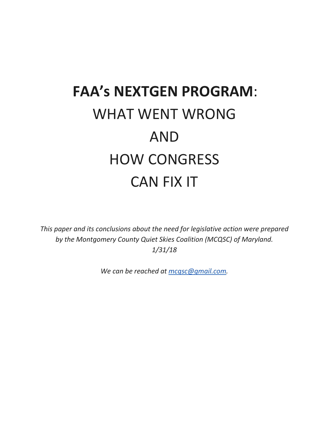# **FAA's NEXTGEN PROGRAM**: WHAT WENT WRONG AND HOW CONGRESS CAN FIX IT

*This paper and its conclusions about the need for legislative action were prepared by the Montgomery County Quiet Skies Coalition (MCQSC) of Maryland. 1/31/18*

*We can be reached at [mcqsc@gmail.com.](mailto:mcqsc@gmail.com)*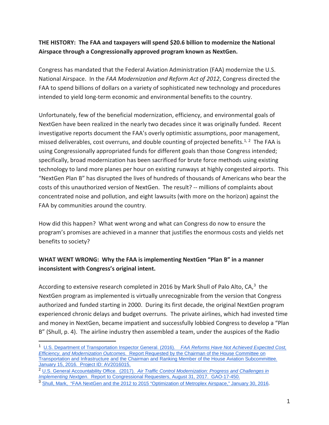## **THE HISTORY: The FAA and taxpayers will spend \$20.6 billion to modernize the National Airspace through a Congressionally approved program known as NextGen.**

Congress has mandated that the Federal Aviation Administration (FAA) modernize the U.S. National Airspace. In the *FAA Modernization and Reform Act of 2012*, Congress directed the FAA to spend billions of dollars on a variety of sophisticated new technology and procedures intended to yield long-term economic and environmental benefits to the country.

Unfortunately, few of the beneficial modernization, efficiency, and environmental goals of NextGen have been realized in the nearly two decades since it was originally funded. Recent investigative reports document the FAA's overly optimistic assumptions, poor management, missed deliverables, cost overruns, and double counting of projected benefits.<sup>[1](#page-1-0), 2</sup> The FAA is using Congressionally appropriated funds for different goals than those Congress intended; specifically, broad modernization has been sacrificed for brute force methods using existing technology to land more planes per hour on existing runways at highly congested airports. This "NextGen Plan B" has disrupted the lives of hundreds of thousands of Americans who bear the costs of this unauthorized version of NextGen. The result? -- millions of complaints about concentrated noise and pollution, and eight lawsuits (with more on the horizon) against the FAA by communities around the country.

How did this happen? What went wrong and what can Congress do now to ensure the program's promises are achieved in a manner that justifies the enormous costs and yields net benefits to society?

## **WHAT WENT WRONG: Why the FAA is implementing NextGen "Plan B" in a manner inconsistent with Congress's original intent.**

According to extensive research completed in 2016 by Mark Shull of Palo Alto,  $CA<sup>3</sup>$  $CA<sup>3</sup>$  $CA<sup>3</sup>$  the NextGen program as implemented is virtually unrecognizable from the version that Congress authorized and funded starting in 2000. During its first decade, the original NextGen program experienced chronic delays and budget overruns. The private airlines, which had invested time and money in NextGen, became impatient and successfully lobbied Congress to develop a "Plan B" (Shull, p. 4). The airline industry then assembled a team, under the auspices of the Radio

<span id="page-1-0"></span> <sup>1</sup> [U.S. Department of Transportation Inspector General. \(2016\).](https://www.oig.dot.gov/sites/default/files/FAA%20Organizational%20Structure_Final%20Report%5E1-15-16.pdf) *[FAA Reforms Have Not Achieved Expected Cost,](https://www.oig.dot.gov/sites/default/files/FAA%20Organizational%20Structure_Final%20Report%5E1-15-16.pdf)  [Efficiency, and Modernization Outcomes.](https://www.oig.dot.gov/sites/default/files/FAA%20Organizational%20Structure_Final%20Report%5E1-15-16.pdf)* [Report Requested by the Chairman of the House Committee on](https://www.oig.dot.gov/sites/default/files/FAA%20Organizational%20Structure_Final%20Report%5E1-15-16.pdf)  [Transportation and Infrastructure and the Chairman and Ranking Member of the House Aviation Subcommittee](https://www.oig.dot.gov/sites/default/files/FAA%20Organizational%20Structure_Final%20Report%5E1-15-16.pdf)*[.](https://www.oig.dot.gov/sites/default/files/FAA%20Organizational%20Structure_Final%20Report%5E1-15-16.pdf)* 

<span id="page-1-1"></span><sup>&</sup>lt;sup>2</sup> [U.S. General Accountability Office. \(2017\).](https://www.gao.gov/assets/690/686881.pdf) Air Traffic Control Modernization: Progress and Challenges in *[Implementing Nextgen](https://www.gao.gov/assets/690/686881.pdf)*[. Report to Congressional Requesters, August 31, 2017. GAO-17-450.](https://www.gao.gov/assets/690/686881.pdf)

<span id="page-1-2"></span><sup>3</sup> [Shull, Mark, "FAA NextGen and the 2012 to 2015 "Optimization of Metroplex Airspace," January 30, 2016.](http://www.skypossepaloalto.org/wp-content/uploads/2016/03/NextGen-History-Final-Ver-1.2-Full.pdf)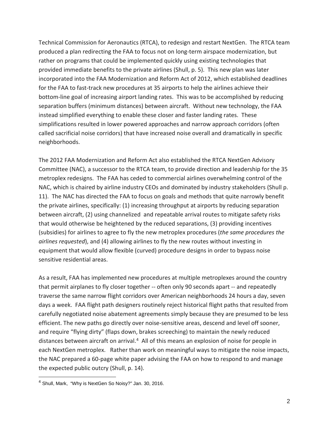Technical Commission for Aeronautics (RTCA), to redesign and restart NextGen. The RTCA team produced a plan redirecting the FAA to focus not on long-term airspace modernization, but rather on programs that could be implemented quickly using existing technologies that provided immediate benefits to the private airlines (Shull, p. 5). This new plan was later incorporated into the FAA Modernization and Reform Act of 2012, which established deadlines for the FAA to fast-track new procedures at 35 airports to help the airlines achieve their bottom-line goal of increasing airport landing rates. This was to be accomplished by reducing separation buffers (minimum distances) between aircraft. Without new technology, the FAA instead simplified everything to enable these closer and faster landing rates. These simplifications resulted in lower powered approaches and narrow approach corridors (often called sacrificial noise corridors) that have increased noise overall and dramatically in specific neighborhoods.

The 2012 FAA Modernization and Reform Act also established the RTCA NextGen Advisory Committee (NAC), a successor to the RTCA team, to provide direction and leadership for the 35 metroplex redesigns. The FAA has ceded to commercial airlines overwhelming control of the NAC, which is chaired by airline industry CEOs and dominated by industry stakeholders (Shull p. 11). The NAC has directed the FAA to focus on goals and methods that quite narrowly benefit the private airlines, specifically: (1) increasing throughput at airports by reducing separation between aircraft, (2) using channelized and repeatable arrival routes to mitigate safety risks that would otherwise be heightened by the reduced separations, (3) providing incentives (subsidies) for airlines to agree to fly the new metroplex procedures (*the same procedures the airlines requested*), and (4) allowing airlines to fly the new routes without investing in equipment that would allow flexible (curved) procedure designs in order to bypass noise sensitive residential areas.

As a result, FAA has implemented new procedures at multiple metroplexes around the country that permit airplanes to fly closer together -- often only 90 seconds apart -- and repeatedly traverse the same narrow flight corridors over American neighborhoods 24 hours a day, seven days a week. FAA flight path designers routinely reject historical flight paths that resulted from carefully negotiated noise abatement agreements simply because they are presumed to be less efficient. The new paths go directly over noise-sensitive areas, descend and level off sooner, and require "flying dirty" (flaps down, brakes screeching) to maintain the newly reduced distances between aircraft on arrival.[4](#page-2-0) All of this means an explosion of noise for people in each NextGen metroplex. Rather than work on meaningful ways to mitigate the noise impacts, the NAC prepared a 60-page white paper advising the FAA on how to respond to and manage the expected public outcry (Shull, p. 14).

<span id="page-2-0"></span><sup>&</sup>lt;sup>4</sup> Shull, Mark, "Why is NextGen So Noisy?" Jan. 30, 2016.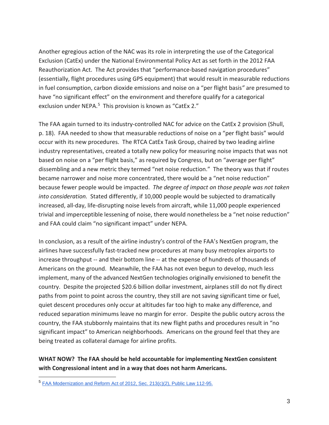Another egregious action of the NAC was its role in interpreting the use of the Categorical Exclusion (CatEx) under the National Environmental Policy Act as set forth in the 2012 FAA Reauthorization Act. The Act provides that "performance-based navigation procedures" (essentially, flight procedures using GPS equipment) that would result in measurable reductions in fuel consumption, carbon dioxide emissions and noise on a "per flight basis*"* are presumed to have "no significant effect" on the environment and therefore qualify for a categorical exclusion under NEPA.<sup>[5](#page-3-0)</sup> This provision is known as "CatEx 2."

The FAA again turned to its industry-controlled NAC for advice on the CatEx 2 provision (Shull, p. 18). FAA needed to show that measurable reductions of noise on a "per flight basis" would occur with its new procedures. The RTCA CatEx Task Group, chaired by two leading airline industry representatives, created a totally new policy for measuring noise impacts that was not based on noise on a "per flight basis," as required by Congress, but on "average per flight" dissembling and a new metric they termed "net noise reduction." The theory was that if routes became narrower and noise more concentrated, there would be a "net noise reduction" because fewer people would be impacted. *The degree of impact on those people was not taken into consideration.* Stated differently, if 10,000 people would be subjected to dramatically increased, all-day, life-disrupting noise levels from aircraft, while 11,000 people experienced trivial and imperceptible lessening of noise, there would nonetheless be a "net noise reduction" and FAA could claim "no significant impact" under NEPA.

In conclusion, as a result of the airline industry's control of the FAA's NextGen program, the airlines have successfully fast-tracked new procedures at many busy metroplex airports to increase throughput -- and their bottom line -- at the expense of hundreds of thousands of Americans on the ground. Meanwhile, the FAA has not even begun to develop, much less implement, many of the advanced NextGen technologies originally envisioned to benefit the country. Despite the projected \$20.6 billion dollar investment, airplanes still do not fly direct paths from point to point across the country, they still are not saving significant time or fuel, quiet descent procedures only occur at altitudes far too high to make any difference, and reduced separation minimums leave no margin for error. Despite the public outcry across the country, the FAA stubbornly maintains that its new flight paths and procedures result in "no significant impact" to American neighborhoods. Americans on the ground feel that they are being treated as collateral damage for airline profits.

## **WHAT NOW? The FAA should be held accountable for implementing NextGen consistent with Congressional intent and in a way that does not harm Americans.**

<span id="page-3-0"></span> <sup>5</sup> FAA Modernization and [Reform Act of 2012, Sec. 213\(c\)\(2\), Public Law 112-95.](https://www.congress.gov/112/plaws/publ95/PLAW-112publ95.pdf)